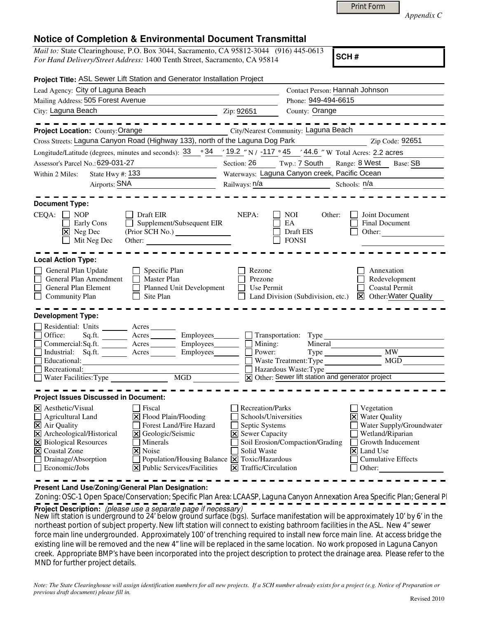| <b>Print Form</b> |  |
|-------------------|--|
|-------------------|--|

*Appendix C* 

## **Notice of Completion & Environmental Document Transmittal**

*Mail to:* State Clearinghouse, P.O. Box 3044, Sacramento, CA 95812-3044 (916) 445-0613 *For Hand Delivery/Street Address:* 1400 Tenth Street, Sacramento, CA 95814

**SCH #**

|                                                                                                                                                                                                                                                  |                                  | Project Title: ASL Sewer Lift Station and Generator Installation Project                                                                                                                                                                                  |                                                                                                                               |                                                                                       |                                                                                                                                                                                                          |  |
|--------------------------------------------------------------------------------------------------------------------------------------------------------------------------------------------------------------------------------------------------|----------------------------------|-----------------------------------------------------------------------------------------------------------------------------------------------------------------------------------------------------------------------------------------------------------|-------------------------------------------------------------------------------------------------------------------------------|---------------------------------------------------------------------------------------|----------------------------------------------------------------------------------------------------------------------------------------------------------------------------------------------------------|--|
| Lead Agency: City of Laguna Beach                                                                                                                                                                                                                |                                  |                                                                                                                                                                                                                                                           |                                                                                                                               |                                                                                       | Contact Person: Hannah Johnson                                                                                                                                                                           |  |
| Mailing Address: 505 Forest Avenue                                                                                                                                                                                                               |                                  |                                                                                                                                                                                                                                                           |                                                                                                                               | Phone: 949-494-6615                                                                   |                                                                                                                                                                                                          |  |
| City: Laguna Beach<br><u> 1989 - Johann Barbara, martin amerikan ba</u>                                                                                                                                                                          |                                  | Zip: 92651                                                                                                                                                                                                                                                | County: Orange                                                                                                                |                                                                                       |                                                                                                                                                                                                          |  |
| Project Location: County: Orange                                                                                                                                                                                                                 |                                  | City/Nearest Community: Laguna Beach                                                                                                                                                                                                                      |                                                                                                                               |                                                                                       |                                                                                                                                                                                                          |  |
|                                                                                                                                                                                                                                                  |                                  | Cross Streets: Laguna Canyon Road (Highway 133), north of the Laguna Dog Park                                                                                                                                                                             |                                                                                                                               |                                                                                       | Zip Code: 92651<br><u> 1990 - Johann Barnett, f</u>                                                                                                                                                      |  |
|                                                                                                                                                                                                                                                  |                                  | Longitude/Latitude (degrees, minutes and seconds): $33 \cdot 34 / 19.2 / N / -117 \cdot 45 / 44.6 / W$ Total Acres: 2.2 acres                                                                                                                             |                                                                                                                               |                                                                                       |                                                                                                                                                                                                          |  |
| Assessor's Parcel No.: 629-031-27                                                                                                                                                                                                                |                                  |                                                                                                                                                                                                                                                           |                                                                                                                               |                                                                                       | Section: 26 Twp.: 7 South Range: 8 West Base: SB                                                                                                                                                         |  |
| State Hwy $#: 133$<br>Within 2 Miles:                                                                                                                                                                                                            |                                  | Waterways: Laguna Canyon creek, Pacific Ocean                                                                                                                                                                                                             |                                                                                                                               |                                                                                       |                                                                                                                                                                                                          |  |
| Airports: SNA                                                                                                                                                                                                                                    |                                  |                                                                                                                                                                                                                                                           |                                                                                                                               | Schools: n/a                                                                          |                                                                                                                                                                                                          |  |
| <b>Document Type:</b><br>CEQA:<br>$\blacksquare$ NOP<br>X Neg Dec                                                                                                                                                                                | Early Cons<br>$\Box$ Mit Neg Dec | Draft EIR<br>Supplement/Subsequent EIR<br>(Prior SCH No.)<br>Other:                                                                                                                                                                                       | NEPA:                                                                                                                         | NOI.<br>Other:<br>EA<br>Draft EIS<br><b>FONSI</b>                                     | Joint Document<br><b>Final Document</b><br>Other:                                                                                                                                                        |  |
| <b>Local Action Type:</b>                                                                                                                                                                                                                        |                                  |                                                                                                                                                                                                                                                           |                                                                                                                               |                                                                                       |                                                                                                                                                                                                          |  |
| General Plan Update<br>General Plan Amendment<br>General Plan Element<br>$\Box$<br><b>Community Plan</b>                                                                                                                                         |                                  | $\Box$ Specific Plan<br>$\Box$<br>Master Plan<br>Planned Unit Development<br>$\Box$ Site Plan                                                                                                                                                             | Rezone<br>Prezone<br>Use Permit                                                                                               |                                                                                       | Annexation<br>Redevelopment<br><b>Coastal Permit</b><br>Land Division (Subdivision, etc.) $\boxtimes$ Other: Water Quality                                                                               |  |
| <b>Development Type:</b><br>Office:<br>Educational:<br>Recreational:                                                                                                                                                                             |                                  | Residential: Units ________ Acres _______<br>Sq.ft. _______ Acres ________ Employees_______ _ Transportation: Type<br>Commercial:Sq.ft. <u>Acres</u><br>Employees<br>Industrial: Sq.ft. Acres                                                             | Employees $\Box$ Mining:<br>Power:                                                                                            | Mineral<br>Hazardous Waste: Type<br>X Other: Sewer lift station and generator project | <b>MW</b><br>Waste Treatment: Type MGD                                                                                                                                                                   |  |
|                                                                                                                                                                                                                                                  |                                  |                                                                                                                                                                                                                                                           |                                                                                                                               |                                                                                       |                                                                                                                                                                                                          |  |
| <b>Project Issues Discussed in Document:</b><br>X Aesthetic/Visual<br>Agricultural Land<br>$\overline{\mathsf{X}}$ Air Quality<br>X Archeological/Historical<br>X Biological Resources<br>X Coastal Zone<br>Drainage/Absorption<br>Economic/Jobs |                                  | Fiscal<br>$\Xi$ Flood Plain/Flooding<br><b>Forest Land/Fire Hazard</b><br><b>X</b> Geologic/Seismic<br>Minerals<br>  <b>×</b>   Noise<br>$\Box$ Population/Housing Balance $\Box$ Toxic/Hazardous<br>$ \mathbf{\overline{X}} $ Public Services/Facilities | Recreation/Parks<br>Septic Systems<br><b>X</b> Sewer Capacity<br>Solid Waste<br>$ \mathbf{\overline{X}} $ Traffic/Circulation | Schools/Universities<br>Soil Erosion/Compaction/Grading                               | $\Box$ Vegetation<br><b>X</b> Water Quality<br>Water Supply/Groundwater<br>Wetland/Riparian<br>$\Box$ Growth Inducement<br>$\vert\mathsf{X}\vert$ Land Use<br><b>Cumulative Effects</b><br>$\Box$ Other: |  |

**Present Land Use/Zoning/General Plan Designation:**

Zoning: OSC-1 Open Space/Conservation; Specific Plan Area: LCAASP, Laguna Canyon Annexation Area Specific Plan; General Pl **Project Description:** (please use a separate page if necessary)

New lift station is underground to 24' below ground surface (bgs). Surface manifestation will be approximately 10' by 6' in the northeast portion of subject property. New lift station will connect to existing bathroom facilities in the ASL. New 4" sewer force main line undergrounded. Approximately 100' of trenching required to install new force main line. At access bridge the existing line will be removed and the new 4" line will be replaced in the same location. No work proposed in Laguna Canyon creek. Appropriate BMP's have been incorporated into the project description to protect the drainage area. Please refer to the MND for further project details.

*Note: The State Clearinghouse will assign identification numbers for all new projects. If a SCH number already exists for a project (e.g. Notice of Preparation or previous draft document) please fill in.*